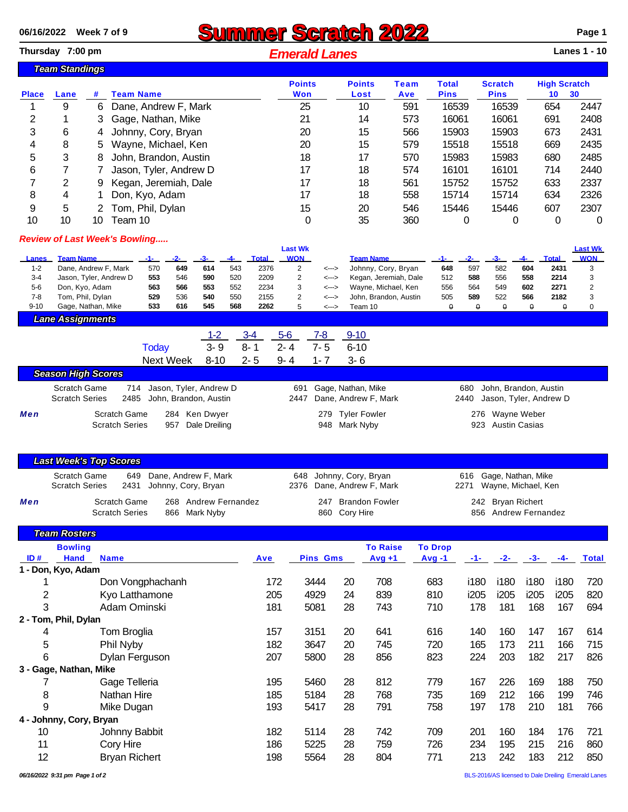## **Summer Summer Summer Separately 2022** Page 1

| 06/16/2022              |                                      | Week 7 of 9 |                                       |              |                             |               |            | <u>Summe</u> |                              |                 |                 | <u>r Seltuen Zuzz</u>                        |              |                             |            |                                           |            |                           | Page 1                       |
|-------------------------|--------------------------------------|-------------|---------------------------------------|--------------|-----------------------------|---------------|------------|--------------|------------------------------|-----------------|-----------------|----------------------------------------------|--------------|-----------------------------|------------|-------------------------------------------|------------|---------------------------|------------------------------|
|                         | Thursday 7:00 pm                     |             |                                       |              |                             |               |            |              | <b>Emerald Lanes</b>         |                 |                 |                                              |              |                             |            |                                           |            |                           | <b>Lanes 1 - 10</b>          |
|                         | <b>Team Standings</b>                |             |                                       |              |                             |               |            |              |                              |                 |                 |                                              |              |                             |            |                                           |            |                           |                              |
| <b>Place</b>            | Lane                                 | #           | <b>Team Name</b>                      |              |                             |               |            |              | <b>Points</b><br><b>Won</b>  |                 |                 | <b>Points</b><br>Lost                        | Team<br>Ave  | <b>Total</b><br><b>Pins</b> |            | <b>Scratch</b><br><b>Pins</b>             |            | <b>High Scratch</b><br>10 | 30                           |
| 1                       | 9                                    | 6           | Dane, Andrew F, Mark                  |              |                             |               |            |              | 25                           |                 |                 | 10                                           | 591          | 16539                       |            | 16539                                     |            | 654                       | 2447                         |
| 2                       | 1                                    | 3           | Gage, Nathan, Mike                    |              |                             |               |            |              | 21                           |                 |                 | 14                                           | 573          | 16061                       |            | 16061                                     |            | 691                       | 2408                         |
| 3                       | 6                                    | 4           | Johnny, Cory, Bryan                   |              |                             |               |            |              | 20                           |                 |                 | 15                                           | 566          | 15903                       |            | 15903                                     |            | 673                       | 2431                         |
| 4                       | 8                                    | 5           | Wayne, Michael, Ken                   |              |                             |               |            |              | 20                           |                 |                 | 15                                           | 579          | 15518                       |            | 15518                                     |            | 669                       | 2435                         |
| 5                       | 3                                    | 8           | John, Brandon, Austin                 |              |                             |               |            |              | 18                           |                 |                 | 17                                           | 570          | 15983                       |            | 15983                                     |            | 680                       | 2485                         |
| 6                       | 7                                    | 7           | Jason, Tyler, Andrew D                |              |                             |               |            |              | 17                           |                 |                 | 18                                           | 574          | 16101                       |            | 16101                                     |            | 714                       | 2440                         |
| 7                       | $\overline{2}$                       | 9           | Kegan, Jeremiah, Dale                 |              |                             |               |            |              | 17                           |                 |                 | 18                                           | 561<br>15752 |                             |            | 15752                                     |            | 633                       | 2337                         |
| 8                       | 4                                    | 1           | Don, Kyo, Adam                        |              |                             |               |            |              | 17                           |                 |                 | 18                                           | 558          | 15714                       |            | 15714                                     |            | 634                       | 2326                         |
| 9                       | 5                                    | 2           | Tom, Phil, Dylan                      |              |                             |               |            |              | 15                           |                 |                 | 20                                           | 546          | 15446                       |            | 15446                                     |            | 607                       | 2307                         |
| 10                      | 10                                   | 10          | Team 10                               |              |                             |               |            |              | 0                            |                 |                 | 35                                           | 360          |                             | 0          |                                           | 0          | 0                         | 0                            |
|                         | <b>Review of Last Week's Bowling</b> |             |                                       |              |                             |               |            |              |                              |                 |                 |                                              |              |                             |            |                                           |            |                           |                              |
| Lanes                   | <b>Team Name</b>                     |             |                                       | -1-          | $-2-$                       | $-3-$         | $-4-$      | <b>Total</b> | <b>Last Wk</b><br><b>WON</b> |                 |                 | <b>Team Name</b>                             |              | -1-                         | $-2-$      | $-3-$                                     | -4-        | <b>Total</b>              | <b>Last Wk</b><br><b>WON</b> |
| $1 - 2$                 | Dane, Andrew F, Mark                 |             |                                       | 570          | 649                         | 614           | 543        | 2376         | 2                            | <--->           |                 | Johnny, Cory, Bryan                          |              | 648                         | 597        | 582                                       | 604        | 2431                      | 3                            |
| $3 - 4$                 | Jason, Tyler, Andrew D               |             |                                       | 553          | 546                         | 590           | 520        | 2209         | $\overline{2}$               | <--->           |                 | Kegan, Jeremiah, Dale                        |              | 512                         | 588        | 556                                       | 558        | 2214                      | 3                            |
| $5-6$<br>$7 - 8$        | Don, Kyo, Adam<br>Tom, Phil, Dylan   |             |                                       | 563<br>529   | 566<br>536                  | 553<br>540    | 552<br>550 | 2234<br>2155 | 3<br>$\overline{2}$          | <---><br><--->  |                 | Wayne, Michael, Ken<br>John, Brandon, Austin |              | 556<br>505                  | 564<br>589 | 549<br>522                                | 602<br>566 | 2271<br>2182              | 2<br>3                       |
| $9 - 10$                | Gage, Nathan, Mike                   |             |                                       | 533          | 616                         | 545           | 568        | 2262         | 5                            | <--->           |                 | Team 10                                      |              | $\Theta$                    | $\Theta$   | $\Theta$                                  | θ          | θ                         | 0                            |
|                         | <b>Lane Assignments</b>              |             |                                       |              |                             |               |            |              |                              |                 |                 |                                              |              |                             |            |                                           |            |                           |                              |
|                         |                                      |             |                                       |              |                             | $1 - 2$       |            | $3 - 4$      | $5-6$                        | $7 - 8$         | $9 - 10$        |                                              |              |                             |            |                                           |            |                           |                              |
|                         |                                      |             |                                       | <b>Today</b> |                             | $3 - 9$       |            | $8 - 1$      | $2 - 4$                      | $7 - 5$         | $6 - 10$        |                                              |              |                             |            |                                           |            |                           |                              |
|                         |                                      |             |                                       |              | Next Week                   | $8 - 10$      |            | $2 - 5$      | $9 - 4$                      | $1 - 7$         | $3 - 6$         |                                              |              |                             |            |                                           |            |                           |                              |
|                         | <b>Season High Scores</b>            |             |                                       |              |                             |               |            |              |                              |                 |                 |                                              |              |                             |            |                                           |            |                           |                              |
|                         | <b>Scratch Game</b>                  |             | 714                                   |              | Jason, Tyler, Andrew D      |               |            |              | 691                          |                 |                 | Gage, Nathan, Mike                           |              |                             | 680        | John, Brandon, Austin                     |            |                           |                              |
|                         | <b>Scratch Series</b>                |             | 2485                                  |              | John, Brandon, Austin       |               |            |              | 2447                         |                 |                 | Dane, Andrew F, Mark                         |              |                             | 2440       |                                           |            | Jason, Tyler, Andrew D    |                              |
| Men                     |                                      |             | <b>Scratch Game</b>                   |              | 284                         | Ken Dwyer     |            |              |                              | 279             |                 | <b>Tyler Fowler</b>                          |              |                             | 276        | Wayne Weber                               |            |                           |                              |
|                         |                                      |             | <b>Scratch Series</b>                 |              | 957                         | Dale Dreiling |            |              |                              | 948             | Mark Nyby       |                                              |              |                             |            | 923 Austin Casias                         |            |                           |                              |
|                         |                                      |             |                                       |              |                             |               |            |              |                              |                 |                 |                                              |              |                             |            |                                           |            |                           |                              |
|                         | <b>Last Week's Top Scores</b>        |             |                                       |              |                             |               |            |              |                              |                 |                 |                                              |              |                             |            |                                           |            |                           |                              |
|                         | <b>Scratch Game</b>                  |             | 649                                   |              | Dane, Andrew F, Mark        |               |            |              |                              |                 |                 | 648 Johnny, Cory, Bryan                      |              |                             | 616        | Gage, Nathan, Mike                        |            |                           |                              |
|                         | <b>Scratch Series</b>                |             | 2431                                  |              | Johnny, Cory, Bryan         |               |            |              |                              |                 |                 | 2376 Dane, Andrew F, Mark                    |              |                             | 2271       | Wayne, Michael, Ken                       |            |                           |                              |
| Men                     |                                      |             | Scratch Game<br><b>Scratch Series</b> |              | 268 Andrew Fernandez<br>866 | Mark Nyby     |            |              |                              |                 | 860 Cory Hire   | 247 Brandon Fowler                           |              |                             |            | 242 Bryan Richert<br>856 Andrew Fernandez |            |                           |                              |
|                         |                                      |             |                                       |              |                             |               |            |              |                              |                 |                 |                                              |              |                             |            |                                           |            |                           |                              |
|                         | <b>Team Rosters</b>                  |             |                                       |              |                             |               |            |              |                              |                 |                 |                                              |              |                             |            |                                           |            |                           |                              |
| ID#                     | <b>Bowling</b><br><b>Hand</b>        |             | <b>Name</b>                           |              |                             |               |            | <b>Ave</b>   |                              | <b>Pins Gms</b> |                 | <b>To Raise</b><br>$Avg +1$                  |              | <b>To Drop</b><br>$Avg -1$  | $-1-$      | $-2-$                                     | -3-        | -4-                       | <b>Total</b>                 |
|                         | 1 - Don, Kyo, Adam                   |             |                                       |              |                             |               |            |              |                              |                 |                 |                                              |              |                             |            |                                           |            |                           |                              |
| 1                       |                                      |             | Don Vongphachanh                      |              |                             |               |            | 172          |                              | 3444            | 20              | 708                                          |              | 683                         | i180       | i180                                      | i180       | i180                      | 720                          |
| $\overline{\mathbf{c}}$ |                                      |             | Kyo Latthamone                        |              |                             |               |            | 205          |                              | 4929            | 24              | 839                                          |              | 810                         | i205       | i205                                      | i205       | i205                      | 820                          |
| 3                       |                                      |             | Adam Ominski                          |              |                             |               |            | 181          |                              | 5081            | 28              | 743                                          |              | 710                         | 178        | 181                                       | 168        | 167                       | 694                          |
|                         | 2 - Tom, Phil, Dylan                 |             |                                       |              |                             |               |            |              |                              |                 |                 |                                              |              |                             |            |                                           |            |                           |                              |
| 4                       |                                      |             | Tom Broolia                           |              |                             |               |            | 157          |                              | 3151            | 20 <sup>2</sup> | 641                                          |              | 616                         | 140        |                                           |            |                           | 160 147 167 614              |

| 2 - Tom, Phil, Dylan |                         |     |      |    |     |     |     |     |     |     |     |
|----------------------|-------------------------|-----|------|----|-----|-----|-----|-----|-----|-----|-----|
| 4                    | Tom Broglia             | 157 | 3151 | 20 | 641 | 616 | 140 | 160 | 147 | 167 | 614 |
| 5                    | Phil Nyby               | 182 | 3647 | 20 | 745 | 720 | 165 | 173 | 211 | 166 | 715 |
| 6                    | Dylan Ferguson          | 207 | 5800 | 28 | 856 | 823 | 224 | 203 | 182 | 217 | 826 |
|                      | 3 - Gage, Nathan, Mike  |     |      |    |     |     |     |     |     |     |     |
|                      | Gage Telleria           | 195 | 5460 | 28 | 812 | 779 | 167 | 226 | 169 | 188 | 750 |
| 8                    | Nathan Hire             | 185 | 5184 | 28 | 768 | 735 | 169 | 212 | 166 | 199 | 746 |
| 9                    | Mike Dugan              | 193 | 5417 | 28 | 791 | 758 | 197 | 178 | 210 | 181 | 766 |
|                      | 4 - Johnny, Cory, Bryan |     |      |    |     |     |     |     |     |     |     |
| 10                   | Johnny Babbit           | 182 | 5114 | 28 | 742 | 709 | 201 | 160 | 184 | 176 | 721 |
| 11                   | Cory Hire               | 186 | 5225 | 28 | 759 | 726 | 234 | 195 | 215 | 216 | 860 |
| 12                   | <b>Bryan Richert</b>    | 198 | 5564 | 28 | 804 | 771 | 213 | 242 | 183 | 212 | 850 |